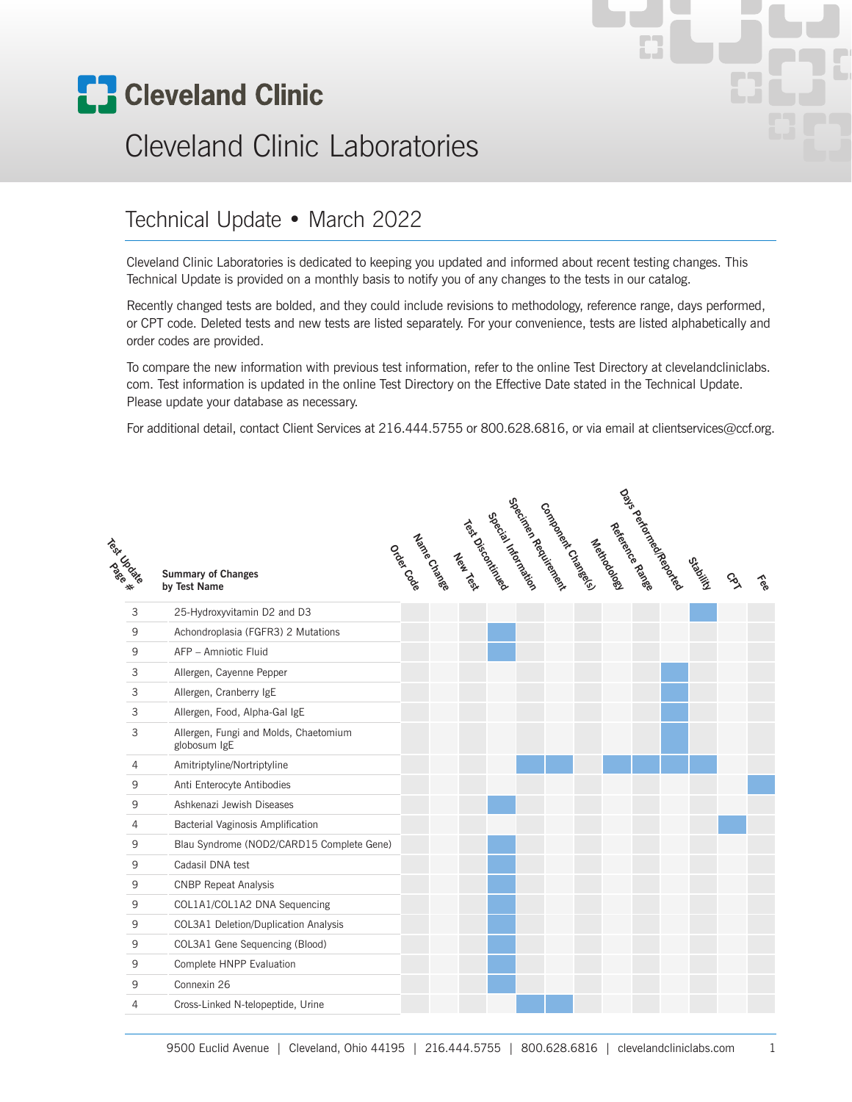

# Cleveland Clinic Laboratories

#### Technical Update • March 2022

Cleveland Clinic Laboratories is dedicated to keeping you updated and informed about recent testing changes. This Technical Update is provided on a monthly basis to notify you of any changes to the tests in our catalog.

Recently changed tests are bolded, and they could include revisions to methodology, reference range, days performed, or CPT code. Deleted tests and new tests are listed separately. For your convenience, tests are listed alphabetically and order codes are provided.

To compare the new information with previous test information, refer to the online Test Directory at clevelandcliniclabs. com. Test information is updated in the online Test Directory on the Effective Date stated in the Technical Update. Please update your database as necessary.

For additional detail, contact Client Services at 216.444.5755 or 800.628.6816, or via email at clientservices@ccf.org.

|                |                                                       |  | Testing Kecker<br>Special Kecker<br>Test Orientale<br>Octobre Manuscript |  | <sub>529</sub> er.<br><sub>529</sub> er.<br>53 | Company Constants |          | Ageretado Rande | nationale perdente |         |                         |                |
|----------------|-------------------------------------------------------|--|--------------------------------------------------------------------------|--|------------------------------------------------|-------------------|----------|-----------------|--------------------|---------|-------------------------|----------------|
| Technology     | <b>Summary of Changes</b><br>by Test Name             |  |                                                                          |  |                                                |                   | Meridoop |                 |                    | OSIMUSI | $\mathcal{S}_{\lambda}$ | $\xi e^{\phi}$ |
| 3              | 25-Hydroxyvitamin D2 and D3                           |  |                                                                          |  |                                                |                   |          |                 |                    |         |                         |                |
| 9              | Achondroplasia (FGFR3) 2 Mutations                    |  |                                                                          |  |                                                |                   |          |                 |                    |         |                         |                |
| 9              | AFP - Amniotic Fluid                                  |  |                                                                          |  |                                                |                   |          |                 |                    |         |                         |                |
| 3              | Allergen, Cayenne Pepper                              |  |                                                                          |  |                                                |                   |          |                 |                    |         |                         |                |
| 3              | Allergen, Cranberry IgE                               |  |                                                                          |  |                                                |                   |          |                 |                    |         |                         |                |
| 3              | Allergen, Food, Alpha-Gal IgE                         |  |                                                                          |  |                                                |                   |          |                 |                    |         |                         |                |
| 3              | Allergen, Fungi and Molds, Chaetomium<br>globosum IgE |  |                                                                          |  |                                                |                   |          |                 |                    |         |                         |                |
| $\overline{4}$ | Amitriptyline/Nortriptyline                           |  |                                                                          |  |                                                |                   |          |                 |                    |         |                         |                |
| 9              | Anti Enterocyte Antibodies                            |  |                                                                          |  |                                                |                   |          |                 |                    |         |                         |                |
| 9              | Ashkenazi Jewish Diseases                             |  |                                                                          |  |                                                |                   |          |                 |                    |         |                         |                |
| 4              | Bacterial Vaginosis Amplification                     |  |                                                                          |  |                                                |                   |          |                 |                    |         |                         |                |
| 9              | Blau Syndrome (NOD2/CARD15 Complete Gene)             |  |                                                                          |  |                                                |                   |          |                 |                    |         |                         |                |
| 9              | Cadasil DNA test                                      |  |                                                                          |  |                                                |                   |          |                 |                    |         |                         |                |
| 9              | <b>CNBP Repeat Analysis</b>                           |  |                                                                          |  |                                                |                   |          |                 |                    |         |                         |                |
| 9              | COL1A1/COL1A2 DNA Sequencing                          |  |                                                                          |  |                                                |                   |          |                 |                    |         |                         |                |
| 9              | COL3A1 Deletion/Duplication Analysis                  |  |                                                                          |  |                                                |                   |          |                 |                    |         |                         |                |
| 9              | COL3A1 Gene Sequencing (Blood)                        |  |                                                                          |  |                                                |                   |          |                 |                    |         |                         |                |
| 9              | Complete HNPP Evaluation                              |  |                                                                          |  |                                                |                   |          |                 |                    |         |                         |                |
| 9              | Connexin 26                                           |  |                                                                          |  |                                                |                   |          |                 |                    |         |                         |                |
| $\overline{4}$ | Cross-Linked N-telopeptide, Urine                     |  |                                                                          |  |                                                |                   |          |                 |                    |         |                         |                |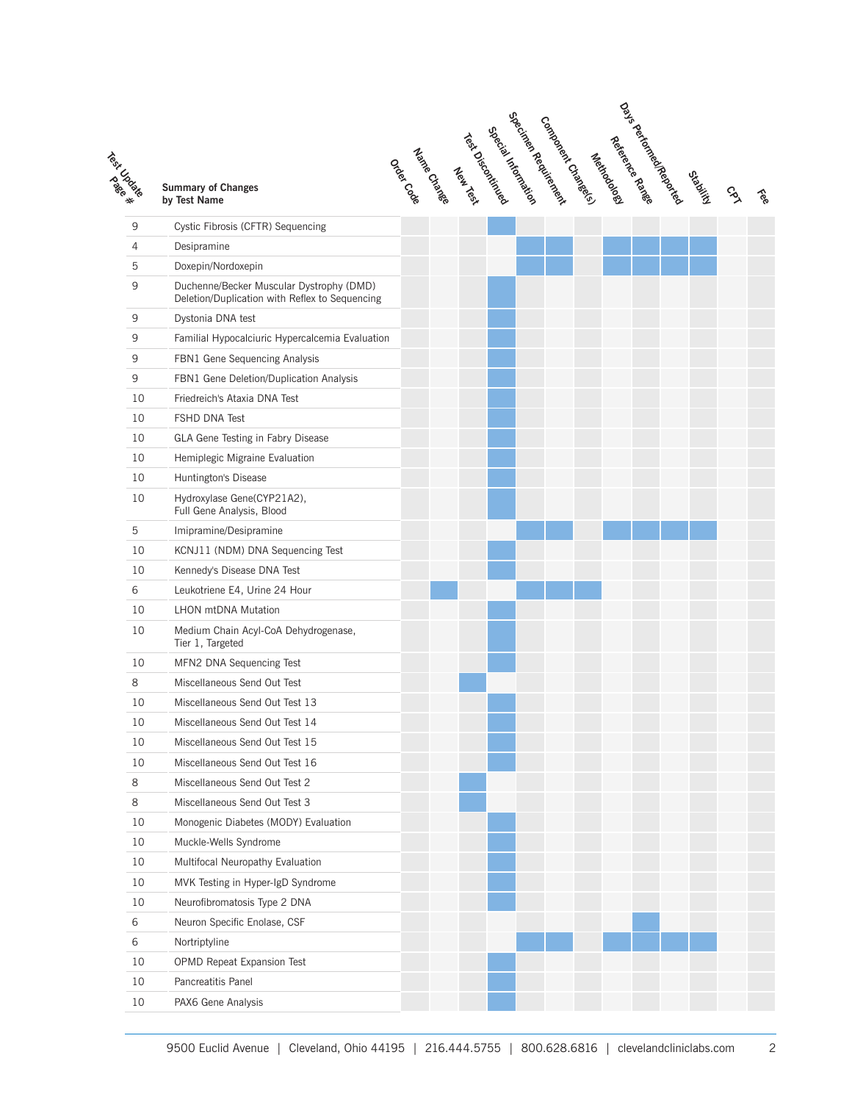| Test Creek | <b>Summary of Changes</b><br>by Test Name                                                  |  | rector and the most of the company of the company of the company of the company of the company of the company of the company of the company of the company of the company of the company of the company of the company of the |  |  |  |  | S | ૢૺ |
|------------|--------------------------------------------------------------------------------------------|--|-------------------------------------------------------------------------------------------------------------------------------------------------------------------------------------------------------------------------------|--|--|--|--|---|----|
| 9          | Cystic Fibrosis (CFTR) Sequencing                                                          |  |                                                                                                                                                                                                                               |  |  |  |  |   |    |
| 4          | Desipramine                                                                                |  |                                                                                                                                                                                                                               |  |  |  |  |   |    |
| 5          | Doxepin/Nordoxepin                                                                         |  |                                                                                                                                                                                                                               |  |  |  |  |   |    |
| 9          | Duchenne/Becker Muscular Dystrophy (DMD)<br>Deletion/Duplication with Reflex to Sequencing |  |                                                                                                                                                                                                                               |  |  |  |  |   |    |
| 9          | Dystonia DNA test                                                                          |  |                                                                                                                                                                                                                               |  |  |  |  |   |    |
| 9          | Familial Hypocalciuric Hypercalcemia Evaluation                                            |  |                                                                                                                                                                                                                               |  |  |  |  |   |    |
| 9          | FBN1 Gene Sequencing Analysis                                                              |  |                                                                                                                                                                                                                               |  |  |  |  |   |    |
| 9          | FBN1 Gene Deletion/Duplication Analysis                                                    |  |                                                                                                                                                                                                                               |  |  |  |  |   |    |
| 10         | Friedreich's Ataxia DNA Test                                                               |  |                                                                                                                                                                                                                               |  |  |  |  |   |    |
| 10         | FSHD DNA Test                                                                              |  |                                                                                                                                                                                                                               |  |  |  |  |   |    |
| 10         | GLA Gene Testing in Fabry Disease                                                          |  |                                                                                                                                                                                                                               |  |  |  |  |   |    |
| 10         | Hemiplegic Migraine Evaluation                                                             |  |                                                                                                                                                                                                                               |  |  |  |  |   |    |
| 10         | Huntington's Disease                                                                       |  |                                                                                                                                                                                                                               |  |  |  |  |   |    |
| 10         | Hydroxylase Gene(CYP21A2),<br>Full Gene Analysis, Blood                                    |  |                                                                                                                                                                                                                               |  |  |  |  |   |    |
| 5          | Imipramine/Desipramine                                                                     |  |                                                                                                                                                                                                                               |  |  |  |  |   |    |
| 10         | KCNJ11 (NDM) DNA Sequencing Test                                                           |  |                                                                                                                                                                                                                               |  |  |  |  |   |    |
| 10         | Kennedy's Disease DNA Test                                                                 |  |                                                                                                                                                                                                                               |  |  |  |  |   |    |
| 6          | Leukotriene E4, Urine 24 Hour                                                              |  |                                                                                                                                                                                                                               |  |  |  |  |   |    |
| 10         | LHON mtDNA Mutation                                                                        |  |                                                                                                                                                                                                                               |  |  |  |  |   |    |
| 10         | Medium Chain Acyl-CoA Dehydrogenase,<br>Tier 1, Targeted                                   |  |                                                                                                                                                                                                                               |  |  |  |  |   |    |
| 10         | MFN2 DNA Sequencing Test                                                                   |  |                                                                                                                                                                                                                               |  |  |  |  |   |    |
| 8          | Miscellaneous Send Out Test                                                                |  |                                                                                                                                                                                                                               |  |  |  |  |   |    |
| 10         | Miscellaneous Send Out Test 13                                                             |  |                                                                                                                                                                                                                               |  |  |  |  |   |    |
| 10         | Miscellaneous Send Out Test 14                                                             |  |                                                                                                                                                                                                                               |  |  |  |  |   |    |
| 10         | Miscellaneous Send Out Test 15                                                             |  |                                                                                                                                                                                                                               |  |  |  |  |   |    |
| 10         | Miscellaneous Send Out Test 16                                                             |  |                                                                                                                                                                                                                               |  |  |  |  |   |    |
| $\,8\,$    | Miscellaneous Send Out Test 2                                                              |  |                                                                                                                                                                                                                               |  |  |  |  |   |    |
| 8          | Miscellaneous Send Out Test 3                                                              |  |                                                                                                                                                                                                                               |  |  |  |  |   |    |
| 10         | Monogenic Diabetes (MODY) Evaluation                                                       |  |                                                                                                                                                                                                                               |  |  |  |  |   |    |
| 10         | Muckle-Wells Syndrome                                                                      |  |                                                                                                                                                                                                                               |  |  |  |  |   |    |
| 10         | Multifocal Neuropathy Evaluation                                                           |  |                                                                                                                                                                                                                               |  |  |  |  |   |    |
| 10         | MVK Testing in Hyper-IgD Syndrome                                                          |  |                                                                                                                                                                                                                               |  |  |  |  |   |    |
| 10         | Neurofibromatosis Type 2 DNA                                                               |  |                                                                                                                                                                                                                               |  |  |  |  |   |    |
| 6          | Neuron Specific Enolase, CSF                                                               |  |                                                                                                                                                                                                                               |  |  |  |  |   |    |
| 6          | Nortriptyline                                                                              |  |                                                                                                                                                                                                                               |  |  |  |  |   |    |
| 10         | OPMD Repeat Expansion Test                                                                 |  |                                                                                                                                                                                                                               |  |  |  |  |   |    |
| 10         | Pancreatitis Panel                                                                         |  |                                                                                                                                                                                                                               |  |  |  |  |   |    |
| 10         | PAX6 Gene Analysis                                                                         |  |                                                                                                                                                                                                                               |  |  |  |  |   |    |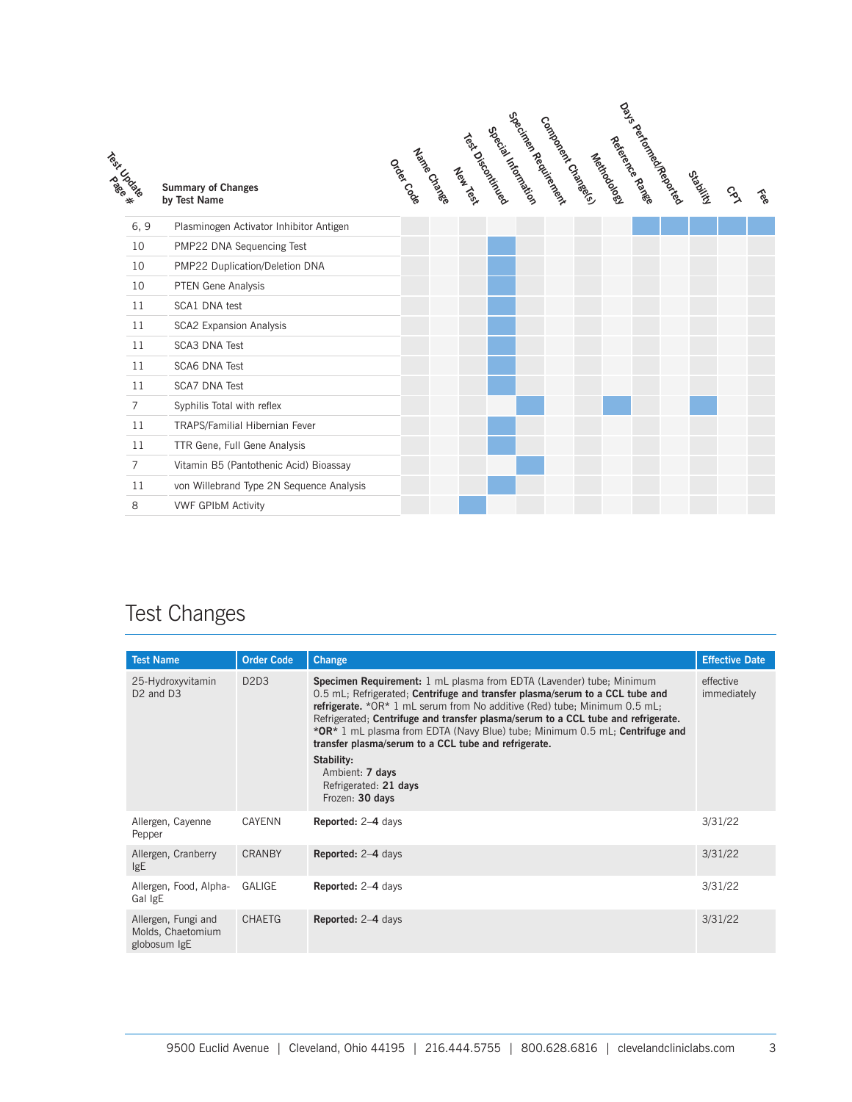| Team Chape     |      | <b>Summary of Changes</b><br>by Test Name | Octor Code | Nandecoco | Test Orcharge<br>New Year | cyecial Literature | 526cines Reading<br>Corraguer Corares | Mexicodores | perence pares | naya deftormeylegebre | ONDITES | $\mathcal{S}$ | Fee |
|----------------|------|-------------------------------------------|------------|-----------|---------------------------|--------------------|---------------------------------------|-------------|---------------|-----------------------|---------|---------------|-----|
|                | 6, 9 | Plasminogen Activator Inhibitor Antigen   |            |           |                           |                    |                                       |             |               |                       |         |               |     |
|                | 10   | PMP22 DNA Sequencing Test                 |            |           |                           |                    |                                       |             |               |                       |         |               |     |
| 10             |      | PMP22 Duplication/Deletion DNA            |            |           |                           |                    |                                       |             |               |                       |         |               |     |
|                | 10   | PTEN Gene Analysis                        |            |           |                           |                    |                                       |             |               |                       |         |               |     |
| 11             |      | SCA1 DNA test                             |            |           |                           |                    |                                       |             |               |                       |         |               |     |
| 11             |      | <b>SCA2 Expansion Analysis</b>            |            |           |                           |                    |                                       |             |               |                       |         |               |     |
| 11             |      | <b>SCA3 DNA Test</b>                      |            |           |                           |                    |                                       |             |               |                       |         |               |     |
| 11             |      | SCA6 DNA Test                             |            |           |                           |                    |                                       |             |               |                       |         |               |     |
| 11             |      | <b>SCA7 DNA Test</b>                      |            |           |                           |                    |                                       |             |               |                       |         |               |     |
| $\overline{7}$ |      | Syphilis Total with reflex                |            |           |                           |                    |                                       |             |               |                       |         |               |     |
| 11             |      | TRAPS/Familial Hibernian Fever            |            |           |                           |                    |                                       |             |               |                       |         |               |     |
| 11             |      | TTR Gene, Full Gene Analysis              |            |           |                           |                    |                                       |             |               |                       |         |               |     |
| $\overline{7}$ |      | Vitamin B5 (Pantothenic Acid) Bioassay    |            |           |                           |                    |                                       |             |               |                       |         |               |     |
| 11             |      | von Willebrand Type 2N Sequence Analysis  |            |           |                           |                    |                                       |             |               |                       |         |               |     |
| 8              |      | <b>VWF GPIbM Activity</b>                 |            |           |                           |                    |                                       |             |               |                       |         |               |     |

### Test Changes

| <b>Test Name</b>                                         | <b>Order Code</b>             | <b>Change</b>                                                                                                                                                                                                                                                                                                                                                                                                                                                                                                                                     | <b>Effective Date</b>    |
|----------------------------------------------------------|-------------------------------|---------------------------------------------------------------------------------------------------------------------------------------------------------------------------------------------------------------------------------------------------------------------------------------------------------------------------------------------------------------------------------------------------------------------------------------------------------------------------------------------------------------------------------------------------|--------------------------|
| 25-Hydroxyvitamin<br>D <sub>2</sub> and D <sub>3</sub>   | D <sub>2</sub> D <sub>3</sub> | Specimen Requirement: 1 mL plasma from EDTA (Lavender) tube; Minimum<br>0.5 mL; Refrigerated; Centrifuge and transfer plasma/serum to a CCL tube and<br><b>refrigerate.</b> *OR* 1 mL serum from No additive (Red) tube; Minimum 0.5 mL;<br>Refrigerated: Centrifuge and transfer plasma/serum to a CCL tube and refrigerate.<br>*OR* 1 mL plasma from EDTA (Navy Blue) tube; Minimum 0.5 mL; Centrifuge and<br>transfer plasma/serum to a CCL tube and refrigerate.<br>Stability:<br>Ambient: 7 days<br>Refrigerated: 21 days<br>Frozen: 30 days | effective<br>immediately |
| Allergen, Cayenne<br>Pepper                              | <b>CAYENN</b>                 | Reported: 2-4 days                                                                                                                                                                                                                                                                                                                                                                                                                                                                                                                                | 3/31/22                  |
| Allergen, Cranberry<br><b>IgE</b>                        | <b>CRANBY</b>                 | Reported: 2-4 days                                                                                                                                                                                                                                                                                                                                                                                                                                                                                                                                | 3/31/22                  |
| Allergen, Food, Alpha-<br>Gal IgE                        | GALIGE                        | Reported: 2-4 days                                                                                                                                                                                                                                                                                                                                                                                                                                                                                                                                | 3/31/22                  |
| Allergen, Fungi and<br>Molds, Chaetomium<br>globosum IgE | <b>CHAETG</b>                 | Reported: 2-4 days                                                                                                                                                                                                                                                                                                                                                                                                                                                                                                                                | 3/31/22                  |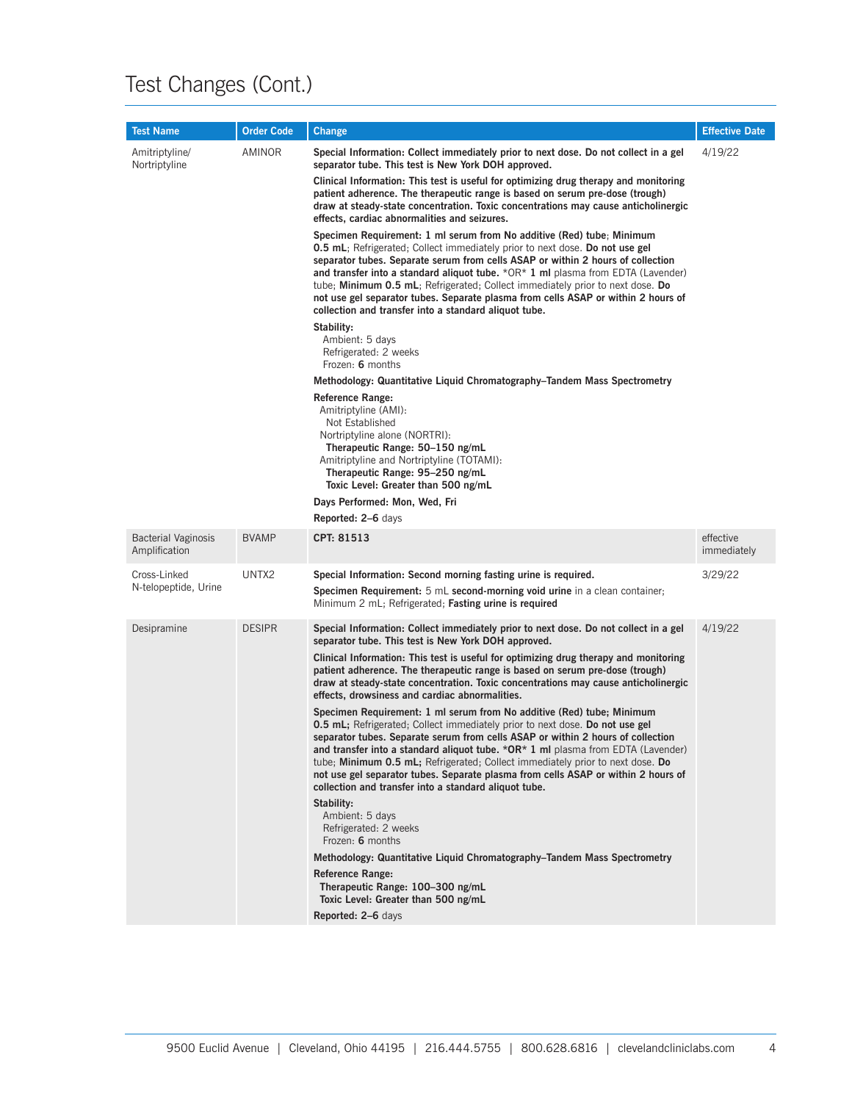| <b>Test Name</b>                            | <b>Order Code</b> | <b>Change</b>                                                                                                                                                                                                                                                                                                                                                                                                                                                                                                                                                                | <b>Effective Date</b>    |
|---------------------------------------------|-------------------|------------------------------------------------------------------------------------------------------------------------------------------------------------------------------------------------------------------------------------------------------------------------------------------------------------------------------------------------------------------------------------------------------------------------------------------------------------------------------------------------------------------------------------------------------------------------------|--------------------------|
| Amitriptyline/<br>Nortriptyline             | AMINOR            | Special Information: Collect immediately prior to next dose. Do not collect in a gel<br>separator tube. This test is New York DOH approved.                                                                                                                                                                                                                                                                                                                                                                                                                                  | 4/19/22                  |
|                                             |                   | Clinical Information: This test is useful for optimizing drug therapy and monitoring<br>patient adherence. The therapeutic range is based on serum pre-dose (trough)<br>draw at steady-state concentration. Toxic concentrations may cause anticholinergic<br>effects, cardiac abnormalities and seizures.                                                                                                                                                                                                                                                                   |                          |
|                                             |                   | Specimen Requirement: 1 ml serum from No additive (Red) tube; Minimum<br><b>0.5 mL</b> ; Refrigerated; Collect immediately prior to next dose. Do not use gel<br>separator tubes. Separate serum from cells ASAP or within 2 hours of collection<br>and transfer into a standard aliquot tube. $*OR*1$ ml plasma from EDTA (Lavender)<br>tube; Minimum 0.5 mL; Refrigerated; Collect immediately prior to next dose. Do<br>not use gel separator tubes. Separate plasma from cells ASAP or within 2 hours of<br>collection and transfer into a standard aliquot tube.        |                          |
|                                             |                   | Stability:<br>Ambient: 5 days<br>Refrigerated: 2 weeks<br>Frozen: 6 months                                                                                                                                                                                                                                                                                                                                                                                                                                                                                                   |                          |
|                                             |                   | Methodology: Quantitative Liquid Chromatography–Tandem Mass Spectrometry                                                                                                                                                                                                                                                                                                                                                                                                                                                                                                     |                          |
|                                             |                   | <b>Reference Range:</b><br>Amitriptyline (AMI):<br>Not Established<br>Nortriptyline alone (NORTRI):<br>Therapeutic Range: 50-150 ng/mL<br>Amitriptyline and Nortriptyline (TOTAMI):<br>Therapeutic Range: 95-250 ng/mL<br>Toxic Level: Greater than 500 ng/mL                                                                                                                                                                                                                                                                                                                |                          |
|                                             |                   | Days Performed: Mon, Wed, Fri                                                                                                                                                                                                                                                                                                                                                                                                                                                                                                                                                |                          |
|                                             |                   | Reported: 2–6 days                                                                                                                                                                                                                                                                                                                                                                                                                                                                                                                                                           |                          |
| <b>Bacterial Vaginosis</b><br>Amplification | <b>BVAMP</b>      | CPT: 81513                                                                                                                                                                                                                                                                                                                                                                                                                                                                                                                                                                   | effective<br>immediately |
| Cross-Linked<br>N-telopeptide, Urine        | UNTX2             | Special Information: Second morning fasting urine is required.<br>Specimen Requirement: 5 mL second-morning void urine in a clean container;<br>Minimum 2 mL; Refrigerated; Fasting urine is required                                                                                                                                                                                                                                                                                                                                                                        | 3/29/22                  |
| Desipramine                                 | <b>DESIPR</b>     | Special Information: Collect immediately prior to next dose. Do not collect in a gel<br>separator tube. This test is New York DOH approved.                                                                                                                                                                                                                                                                                                                                                                                                                                  | 4/19/22                  |
|                                             |                   | Clinical Information: This test is useful for optimizing drug therapy and monitoring<br>patient adherence. The therapeutic range is based on serum pre-dose (trough)<br>draw at steady-state concentration. Toxic concentrations may cause anticholinergic<br>effects, drowsiness and cardiac abnormalities.                                                                                                                                                                                                                                                                 |                          |
|                                             |                   | Specimen Requirement: 1 ml serum from No additive (Red) tube; Minimum<br><b>0.5 mL</b> ; Refrigerated; Collect immediately prior to next dose. <b>Do not use gel</b><br>separator tubes. Separate serum from cells ASAP or within 2 hours of collection<br>and transfer into a standard aliquot tube. $*OR*1$ ml plasma from EDTA (Lavender)<br>tube; Minimum 0.5 mL; Refrigerated; Collect immediately prior to next dose. Do<br>not use gel separator tubes. Separate plasma from cells ASAP or within 2 hours of<br>collection and transfer into a standard aliquot tube. |                          |
|                                             |                   | Stability:<br>Ambient: 5 days<br>Refrigerated: 2 weeks<br>Frozen: 6 months                                                                                                                                                                                                                                                                                                                                                                                                                                                                                                   |                          |
|                                             |                   | Methodology: Quantitative Liquid Chromatography–Tandem Mass Spectrometry                                                                                                                                                                                                                                                                                                                                                                                                                                                                                                     |                          |
|                                             |                   | <b>Reference Range:</b><br>Therapeutic Range: 100-300 ng/mL<br>Toxic Level: Greater than 500 ng/mL                                                                                                                                                                                                                                                                                                                                                                                                                                                                           |                          |
|                                             |                   | Reported: 2-6 days                                                                                                                                                                                                                                                                                                                                                                                                                                                                                                                                                           |                          |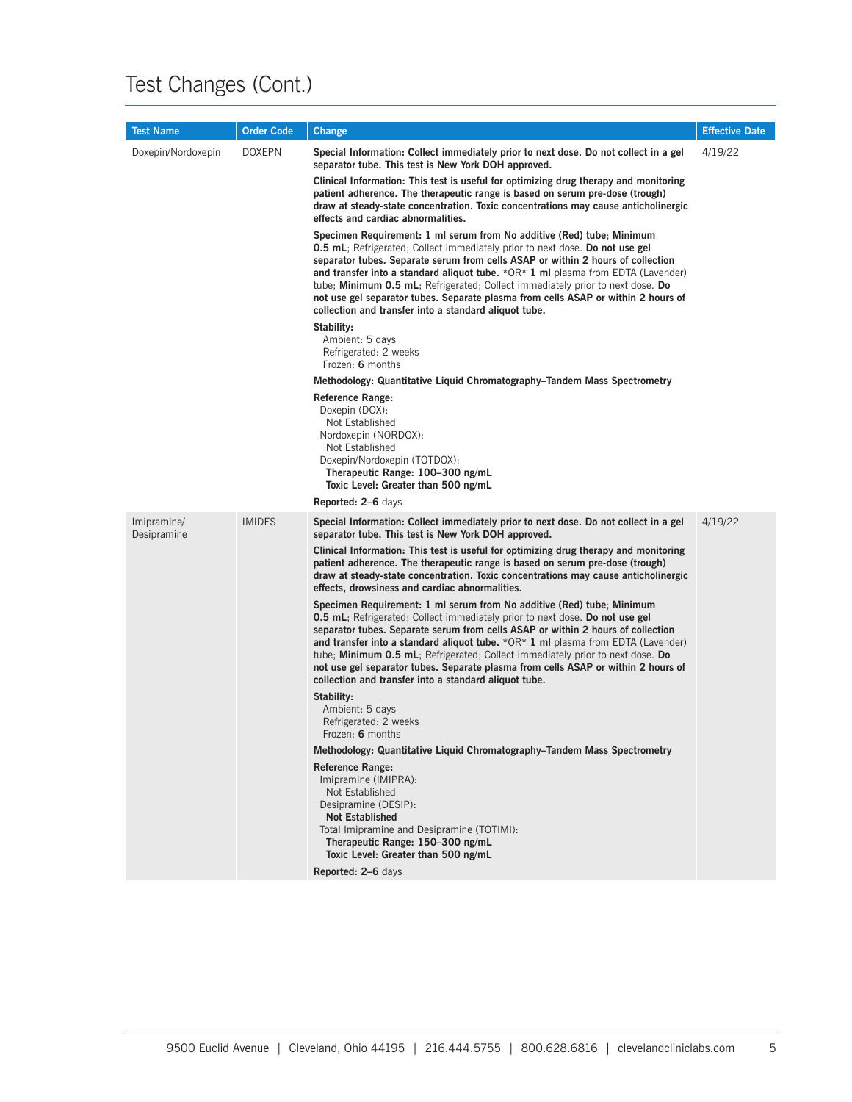| <b>Test Name</b>           | <b>Order Code</b> | <b>Change</b>                                                                                                                                                                                                                                                                                                                                                                                                                                                                                                                                                         | <b>Effective Date</b> |
|----------------------------|-------------------|-----------------------------------------------------------------------------------------------------------------------------------------------------------------------------------------------------------------------------------------------------------------------------------------------------------------------------------------------------------------------------------------------------------------------------------------------------------------------------------------------------------------------------------------------------------------------|-----------------------|
| Doxepin/Nordoxepin         | <b>DOXEPN</b>     | Special Information: Collect immediately prior to next dose. Do not collect in a gel<br>separator tube. This test is New York DOH approved.                                                                                                                                                                                                                                                                                                                                                                                                                           | 4/19/22               |
|                            |                   | Clinical Information: This test is useful for optimizing drug therapy and monitoring<br>patient adherence. The therapeutic range is based on serum pre-dose (trough)<br>draw at steady-state concentration. Toxic concentrations may cause anticholinergic<br>effects and cardiac abnormalities.                                                                                                                                                                                                                                                                      |                       |
|                            |                   | Specimen Requirement: 1 ml serum from No additive (Red) tube; Minimum<br><b>0.5 mL</b> ; Refrigerated; Collect immediately prior to next dose. Do not use gel<br>separator tubes. Separate serum from cells ASAP or within 2 hours of collection<br>and transfer into a standard aliquot tube. $*OR*1$ ml plasma from EDTA (Lavender)<br>tube; Minimum 0.5 mL; Refrigerated; Collect immediately prior to next dose. Do<br>not use gel separator tubes. Separate plasma from cells ASAP or within 2 hours of<br>collection and transfer into a standard aliquot tube. |                       |
|                            |                   | Stability:<br>Ambient: 5 days<br>Refrigerated: 2 weeks<br>Frozen: 6 months                                                                                                                                                                                                                                                                                                                                                                                                                                                                                            |                       |
|                            |                   | Methodology: Quantitative Liquid Chromatography–Tandem Mass Spectrometry                                                                                                                                                                                                                                                                                                                                                                                                                                                                                              |                       |
|                            |                   | <b>Reference Range:</b><br>Doxepin (DOX):<br>Not Established<br>Nordoxepin (NORDOX):<br>Not Established<br>Doxepin/Nordoxepin (TOTDOX):<br>Therapeutic Range: 100-300 ng/mL<br>Toxic Level: Greater than 500 ng/mL                                                                                                                                                                                                                                                                                                                                                    |                       |
|                            |                   | Reported: 2-6 days                                                                                                                                                                                                                                                                                                                                                                                                                                                                                                                                                    |                       |
| Imipramine/<br>Desipramine | <b>IMIDES</b>     | Special Information: Collect immediately prior to next dose. Do not collect in a gel<br>separator tube. This test is New York DOH approved.                                                                                                                                                                                                                                                                                                                                                                                                                           | 4/19/22               |
|                            |                   | Clinical Information: This test is useful for optimizing drug therapy and monitoring<br>patient adherence. The therapeutic range is based on serum pre-dose (trough)<br>draw at steady-state concentration. Toxic concentrations may cause anticholinergic<br>effects, drowsiness and cardiac abnormalities.                                                                                                                                                                                                                                                          |                       |
|                            |                   | Specimen Requirement: 1 ml serum from No additive (Red) tube; Minimum<br><b>0.5 mL</b> ; Refrigerated; Collect immediately prior to next dose. Do not use gel<br>separator tubes. Separate serum from cells ASAP or within 2 hours of collection<br>and transfer into a standard aliquot tube. $*OR*1$ ml plasma from EDTA (Lavender)<br>tube; Minimum 0.5 mL; Refrigerated; Collect immediately prior to next dose. Do<br>not use gel separator tubes. Separate plasma from cells ASAP or within 2 hours of<br>collection and transfer into a standard aliquot tube. |                       |
|                            |                   | Stability:<br>Ambient: 5 days<br>Refrigerated: 2 weeks<br>Frozen: 6 months                                                                                                                                                                                                                                                                                                                                                                                                                                                                                            |                       |
|                            |                   | Methodology: Quantitative Liquid Chromatography–Tandem Mass Spectrometry                                                                                                                                                                                                                                                                                                                                                                                                                                                                                              |                       |
|                            |                   | <b>Reference Range:</b><br>Imipramine (IMIPRA):<br>Not Established<br>Desipramine (DESIP):<br><b>Not Established</b><br>Total Imipramine and Desipramine (TOTIMI):<br>Therapeutic Range: 150-300 ng/mL<br>Toxic Level: Greater than 500 ng/mL                                                                                                                                                                                                                                                                                                                         |                       |
|                            |                   | Reported: 2-6 days                                                                                                                                                                                                                                                                                                                                                                                                                                                                                                                                                    |                       |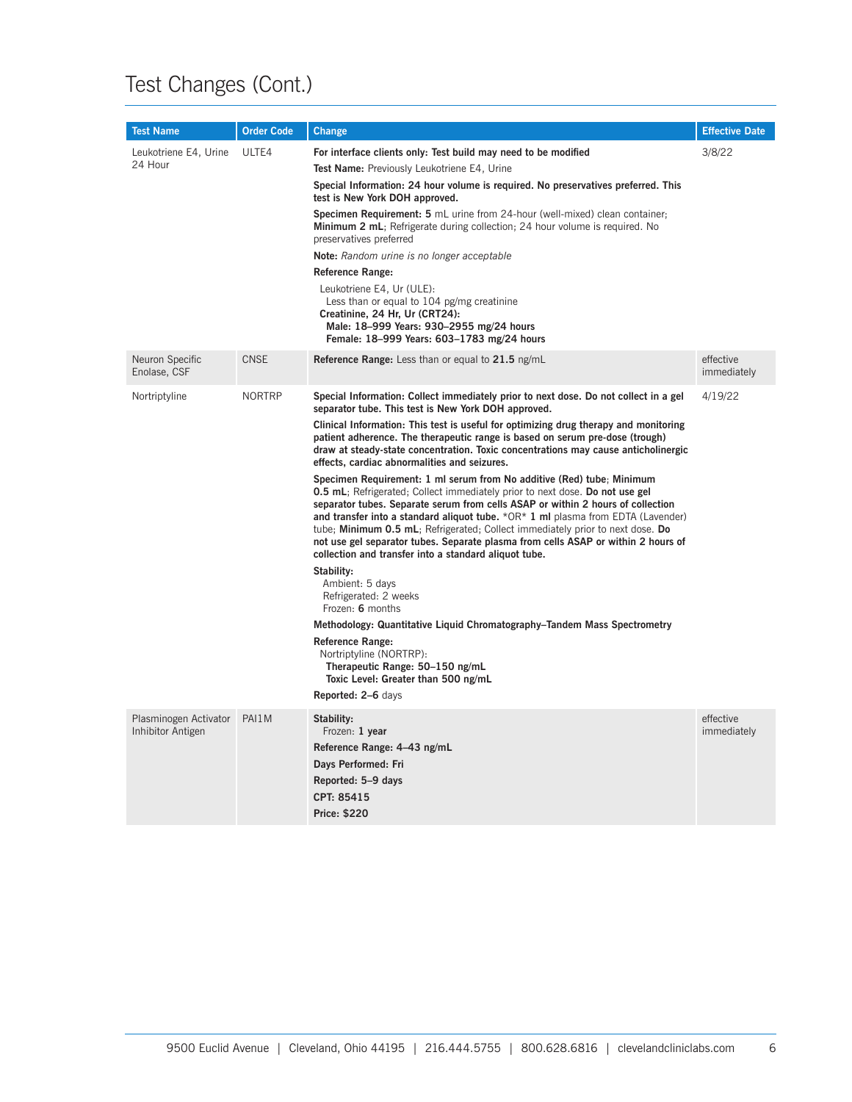| <b>Test Name</b>                           | <b>Order Code</b> | Change                                                                                                                                                                                                                                                                                                                                                                                                                                                                                                                                                                                                                                                                                                                                                                                                                                                                                                                                                                                                                                                                                                                                                                                                                                                                                                                                             | <b>Effective Date</b>    |
|--------------------------------------------|-------------------|----------------------------------------------------------------------------------------------------------------------------------------------------------------------------------------------------------------------------------------------------------------------------------------------------------------------------------------------------------------------------------------------------------------------------------------------------------------------------------------------------------------------------------------------------------------------------------------------------------------------------------------------------------------------------------------------------------------------------------------------------------------------------------------------------------------------------------------------------------------------------------------------------------------------------------------------------------------------------------------------------------------------------------------------------------------------------------------------------------------------------------------------------------------------------------------------------------------------------------------------------------------------------------------------------------------------------------------------------|--------------------------|
| Leukotriene E4, Urine<br>24 Hour           | ULTE4             | For interface clients only: Test build may need to be modified<br>Test Name: Previously Leukotriene E4, Urine<br>Special Information: 24 hour volume is required. No preservatives preferred. This<br>test is New York DOH approved.<br>Specimen Requirement: 5 mL urine from 24-hour (well-mixed) clean container;<br><b>Minimum 2 mL</b> ; Refrigerate during collection; 24 hour volume is required. No<br>preservatives preferred<br>Note: Random urine is no longer acceptable<br><b>Reference Range:</b><br>Leukotriene E4, Ur (ULE):<br>Less than or equal to 104 pg/mg creatinine<br>Creatinine, 24 Hr, Ur (CRT24):<br>Male: 18-999 Years: 930-2955 mg/24 hours<br>Female: 18-999 Years: 603-1783 mg/24 hours                                                                                                                                                                                                                                                                                                                                                                                                                                                                                                                                                                                                                              | 3/8/22                   |
| Neuron Specific<br>Enolase, CSF            | <b>CNSE</b>       | <b>Reference Range:</b> Less than or equal to $21.5$ ng/mL                                                                                                                                                                                                                                                                                                                                                                                                                                                                                                                                                                                                                                                                                                                                                                                                                                                                                                                                                                                                                                                                                                                                                                                                                                                                                         | effective<br>immediately |
| Nortriptyline                              | <b>NORTRP</b>     | Special Information: Collect immediately prior to next dose. Do not collect in a gel<br>separator tube. This test is New York DOH approved.<br>Clinical Information: This test is useful for optimizing drug therapy and monitoring<br>patient adherence. The therapeutic range is based on serum pre-dose (trough)<br>draw at steady-state concentration. Toxic concentrations may cause anticholinergic<br>effects, cardiac abnormalities and seizures.<br>Specimen Requirement: 1 ml serum from No additive (Red) tube; Minimum<br><b>0.5 mL</b> ; Refrigerated; Collect immediately prior to next dose. <b>Do not use gel</b><br>separator tubes. Separate serum from cells ASAP or within 2 hours of collection<br>and transfer into a standard aliquot tube. $*OR*1$ ml plasma from EDTA (Lavender)<br>tube; Minimum 0.5 mL; Refrigerated; Collect immediately prior to next dose. Do<br>not use gel separator tubes. Separate plasma from cells ASAP or within 2 hours of<br>collection and transfer into a standard aliquot tube.<br>Stability:<br>Ambient: 5 days<br>Refrigerated: 2 weeks<br>Frozen: 6 months<br>Methodology: Quantitative Liquid Chromatography–Tandem Mass Spectrometry<br>Reference Range:<br>Nortriptyline (NORTRP):<br>Therapeutic Range: 50-150 ng/mL<br>Toxic Level: Greater than 500 ng/mL<br>Reported: 2-6 days | 4/19/22                  |
| Plasminogen Activator<br>Inhibitor Antigen | PAI1M             | Stability:<br>Frozen: 1 year<br>Reference Range: 4–43 ng/mL<br>Days Performed: Fri<br>Reported: 5-9 days<br>CPT: 85415<br><b>Price: \$220</b>                                                                                                                                                                                                                                                                                                                                                                                                                                                                                                                                                                                                                                                                                                                                                                                                                                                                                                                                                                                                                                                                                                                                                                                                      | effective<br>immediately |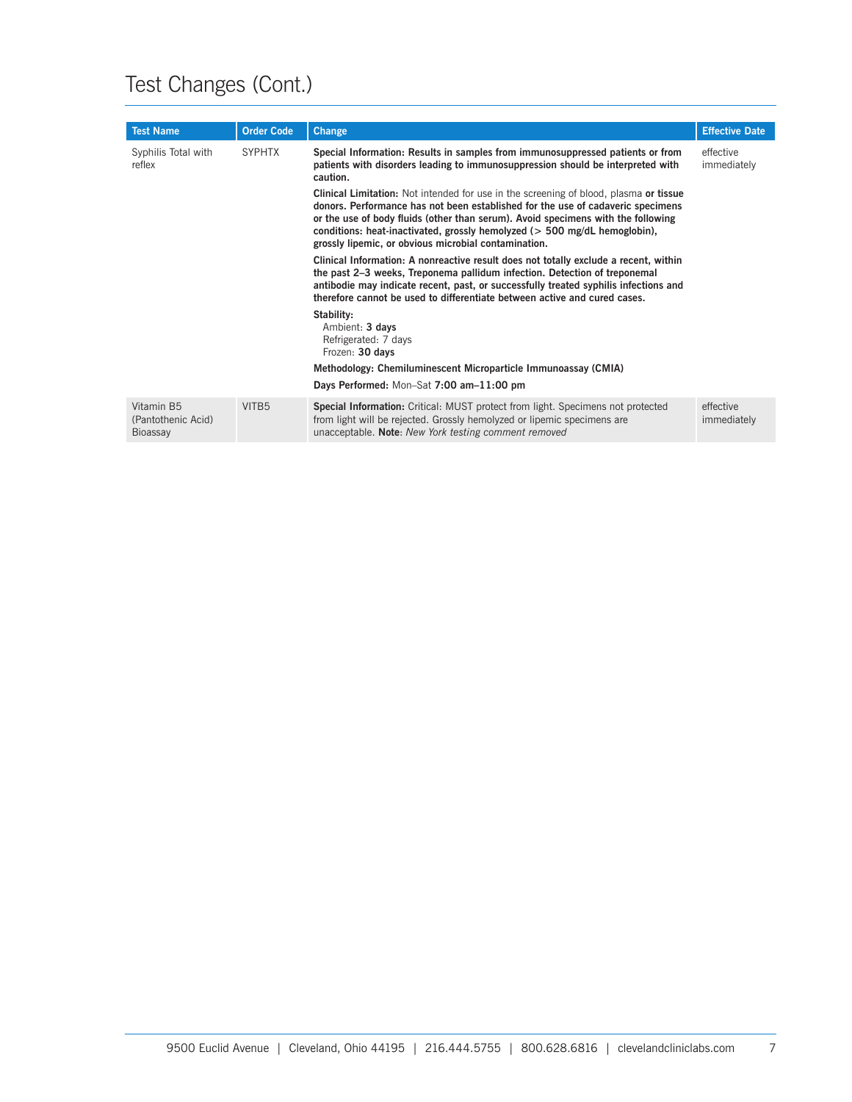| <b>Test Name</b>                             | <b>Order Code</b> | <b>Change</b>                                                                                                                                                                                                                                                                                                                                                                                               | <b>Effective Date</b>    |
|----------------------------------------------|-------------------|-------------------------------------------------------------------------------------------------------------------------------------------------------------------------------------------------------------------------------------------------------------------------------------------------------------------------------------------------------------------------------------------------------------|--------------------------|
| Syphilis Total with<br>reflex                | <b>SYPHTX</b>     | Special Information: Results in samples from immunosuppressed patients or from<br>patients with disorders leading to immunosuppression should be interpreted with<br>caution.                                                                                                                                                                                                                               | effective<br>immediately |
|                                              |                   | <b>Clinical Limitation:</b> Not intended for use in the screening of blood, plasma or tissue<br>donors. Performance has not been established for the use of cadaveric specimens<br>or the use of body fluids (other than serum). Avoid specimens with the following<br>conditions: heat-inactivated, grossly hemolyzed ( $>$ 500 mg/dL hemoglobin),<br>grossly lipemic, or obvious microbial contamination. |                          |
|                                              |                   | Clinical Information: A nonreactive result does not totally exclude a recent, within<br>the past 2–3 weeks, Treponema pallidum infection. Detection of treponemal<br>antibodie may indicate recent, past, or successfully treated syphilis infections and<br>therefore cannot be used to differentiate between active and cured cases.                                                                      |                          |
|                                              |                   | Stability:<br>Ambient: 3 days<br>Refrigerated: 7 days<br>Frozen: 30 days                                                                                                                                                                                                                                                                                                                                    |                          |
|                                              |                   | Methodology: Chemiluminescent Microparticle Immunoassay (CMIA)                                                                                                                                                                                                                                                                                                                                              |                          |
|                                              |                   | Days Performed: Mon-Sat 7:00 am-11:00 pm                                                                                                                                                                                                                                                                                                                                                                    |                          |
| Vitamin B5<br>(Pantothenic Acid)<br>Bioassay | VITB5             | <b>Special Information:</b> Critical: MUST protect from light. Specimens not protected<br>from light will be rejected. Grossly hemolyzed or lipemic specimens are<br>unacceptable. Note: New York testing comment removed                                                                                                                                                                                   | effective<br>immediately |
|                                              |                   |                                                                                                                                                                                                                                                                                                                                                                                                             |                          |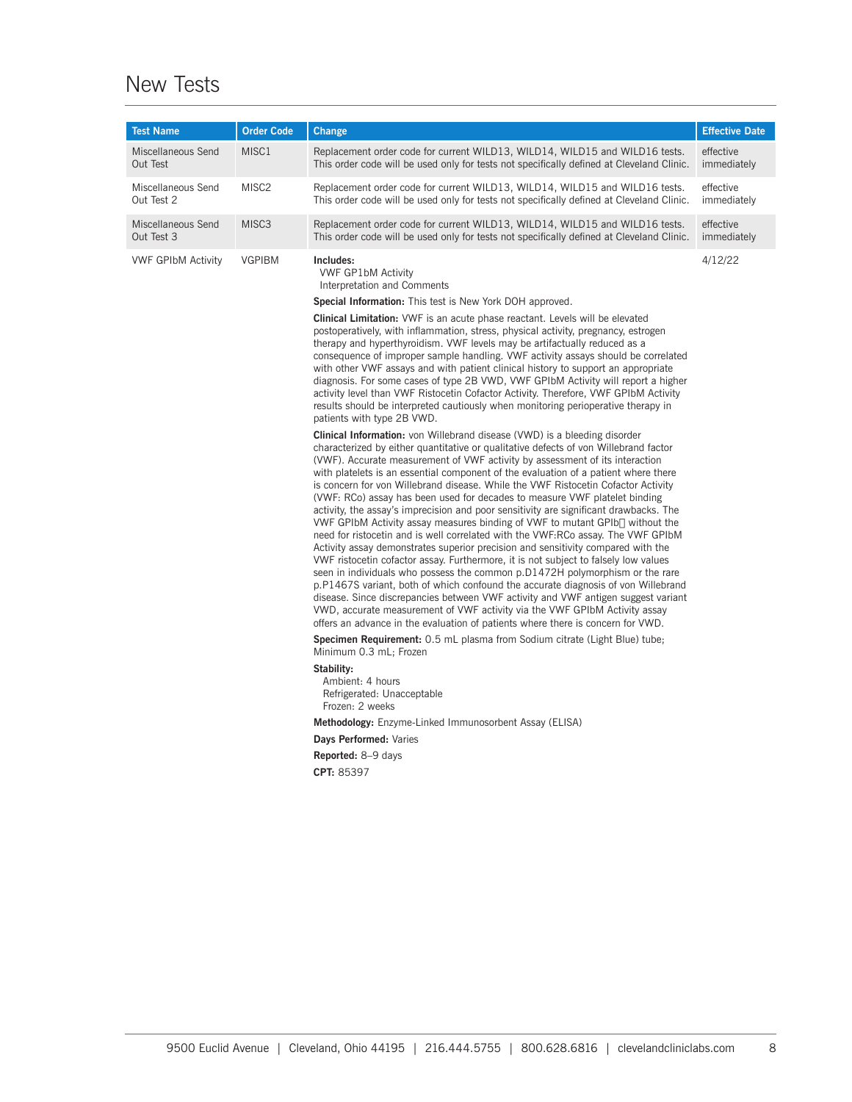#### New Tests

| <b>Test Name</b>          | <b>Order Code</b> | Change                                                                                                                                                                                                                                                                                                                                                                                                                                                                                                                                                                                                                                                                                                                                                                                                                                                                                                                                                                                                                                                                                                                                                                                                                                                                                                                                                                                                                                                                                                                                                                                                                                                                                                                                                                                                                                                                                                                                                                                                                                                                                                                                                                                                                                                                                                                                                                                                                                                                                                                                                                                         | <b>Effective Date</b> |
|---------------------------|-------------------|------------------------------------------------------------------------------------------------------------------------------------------------------------------------------------------------------------------------------------------------------------------------------------------------------------------------------------------------------------------------------------------------------------------------------------------------------------------------------------------------------------------------------------------------------------------------------------------------------------------------------------------------------------------------------------------------------------------------------------------------------------------------------------------------------------------------------------------------------------------------------------------------------------------------------------------------------------------------------------------------------------------------------------------------------------------------------------------------------------------------------------------------------------------------------------------------------------------------------------------------------------------------------------------------------------------------------------------------------------------------------------------------------------------------------------------------------------------------------------------------------------------------------------------------------------------------------------------------------------------------------------------------------------------------------------------------------------------------------------------------------------------------------------------------------------------------------------------------------------------------------------------------------------------------------------------------------------------------------------------------------------------------------------------------------------------------------------------------------------------------------------------------------------------------------------------------------------------------------------------------------------------------------------------------------------------------------------------------------------------------------------------------------------------------------------------------------------------------------------------------------------------------------------------------------------------------------------------------|-----------------------|
| Miscellaneous Send        | MISC1             | Replacement order code for current WILD13, WILD14, WILD15 and WILD16 tests.                                                                                                                                                                                                                                                                                                                                                                                                                                                                                                                                                                                                                                                                                                                                                                                                                                                                                                                                                                                                                                                                                                                                                                                                                                                                                                                                                                                                                                                                                                                                                                                                                                                                                                                                                                                                                                                                                                                                                                                                                                                                                                                                                                                                                                                                                                                                                                                                                                                                                                                    | effective             |
| Out Test                  |                   | This order code will be used only for tests not specifically defined at Cleveland Clinic.                                                                                                                                                                                                                                                                                                                                                                                                                                                                                                                                                                                                                                                                                                                                                                                                                                                                                                                                                                                                                                                                                                                                                                                                                                                                                                                                                                                                                                                                                                                                                                                                                                                                                                                                                                                                                                                                                                                                                                                                                                                                                                                                                                                                                                                                                                                                                                                                                                                                                                      | immediately           |
| Miscellaneous Send        | MISC2             | Replacement order code for current WILD13, WILD14, WILD15 and WILD16 tests.                                                                                                                                                                                                                                                                                                                                                                                                                                                                                                                                                                                                                                                                                                                                                                                                                                                                                                                                                                                                                                                                                                                                                                                                                                                                                                                                                                                                                                                                                                                                                                                                                                                                                                                                                                                                                                                                                                                                                                                                                                                                                                                                                                                                                                                                                                                                                                                                                                                                                                                    | effective             |
| Out Test 2                |                   | This order code will be used only for tests not specifically defined at Cleveland Clinic.                                                                                                                                                                                                                                                                                                                                                                                                                                                                                                                                                                                                                                                                                                                                                                                                                                                                                                                                                                                                                                                                                                                                                                                                                                                                                                                                                                                                                                                                                                                                                                                                                                                                                                                                                                                                                                                                                                                                                                                                                                                                                                                                                                                                                                                                                                                                                                                                                                                                                                      | immediately           |
| Miscellaneous Send        | MISC <sub>3</sub> | Replacement order code for current WILD13, WILD14, WILD15 and WILD16 tests.                                                                                                                                                                                                                                                                                                                                                                                                                                                                                                                                                                                                                                                                                                                                                                                                                                                                                                                                                                                                                                                                                                                                                                                                                                                                                                                                                                                                                                                                                                                                                                                                                                                                                                                                                                                                                                                                                                                                                                                                                                                                                                                                                                                                                                                                                                                                                                                                                                                                                                                    | effective             |
| Out Test 3                |                   | This order code will be used only for tests not specifically defined at Cleveland Clinic.                                                                                                                                                                                                                                                                                                                                                                                                                                                                                                                                                                                                                                                                                                                                                                                                                                                                                                                                                                                                                                                                                                                                                                                                                                                                                                                                                                                                                                                                                                                                                                                                                                                                                                                                                                                                                                                                                                                                                                                                                                                                                                                                                                                                                                                                                                                                                                                                                                                                                                      | immediately           |
| <b>VWF GPIbM Activity</b> | <b>VGPIBM</b>     | Includes:<br><b>VWF GP1bM Activity</b><br>Interpretation and Comments<br>Special Information: This test is New York DOH approved.<br><b>Clinical Limitation:</b> VWF is an acute phase reactant. Levels will be elevated<br>postoperatively, with inflammation, stress, physical activity, pregnancy, estrogen<br>therapy and hyperthyroidism. VWF levels may be artifactually reduced as a<br>consequence of improper sample handling. VWF activity assays should be correlated<br>with other VWF assays and with patient clinical history to support an appropriate<br>diagnosis. For some cases of type 2B VWD, VWF GPIbM Activity will report a higher<br>activity level than VWF Ristocetin Cofactor Activity. Therefore, VWF GPIbM Activity<br>results should be interpreted cautiously when monitoring perioperative therapy in<br>patients with type 2B VWD.<br><b>Clinical Information:</b> von Willebrand disease (VWD) is a bleeding disorder<br>characterized by either quantitative or qualitative defects of von Willebrand factor<br>(VWF). Accurate measurement of VWF activity by assessment of its interaction<br>with platelets is an essential component of the evaluation of a patient where there<br>is concern for von Willebrand disease. While the VWF Ristocetin Cofactor Activity<br>(VWF: RCo) assay has been used for decades to measure VWF platelet binding<br>activity, the assay's imprecision and poor sensitivity are significant drawbacks. The<br>VWF GPIbM Activity assay measures binding of VWF to mutant GPIb∏ without the<br>need for ristocetin and is well correlated with the VWF:RCo assay. The VWF GPIbM<br>Activity assay demonstrates superior precision and sensitivity compared with the<br>VWF ristocetin cofactor assay. Furthermore, it is not subject to falsely low values<br>seen in individuals who possess the common p.D1472H polymorphism or the rare<br>p.P1467S variant, both of which confound the accurate diagnosis of von Willebrand<br>disease. Since discrepancies between VWF activity and VWF antigen suggest variant<br>VWD, accurate measurement of VWF activity via the VWF GPIbM Activity assay<br>offers an advance in the evaluation of patients where there is concern for VWD.<br><b>Specimen Requirement:</b> 0.5 mL plasma from Sodium citrate (Light Blue) tube;<br>Minimum 0.3 mL; Frozen<br>Stability:<br>Ambient: 4 hours<br>Refrigerated: Unacceptable<br>Frozen: 2 weeks<br>Methodology: Enzyme-Linked Immunosorbent Assay (ELISA)<br>Days Performed: Varies<br><b>Reported:</b> 8–9 days<br>CPT: 85397 | 4/12/22               |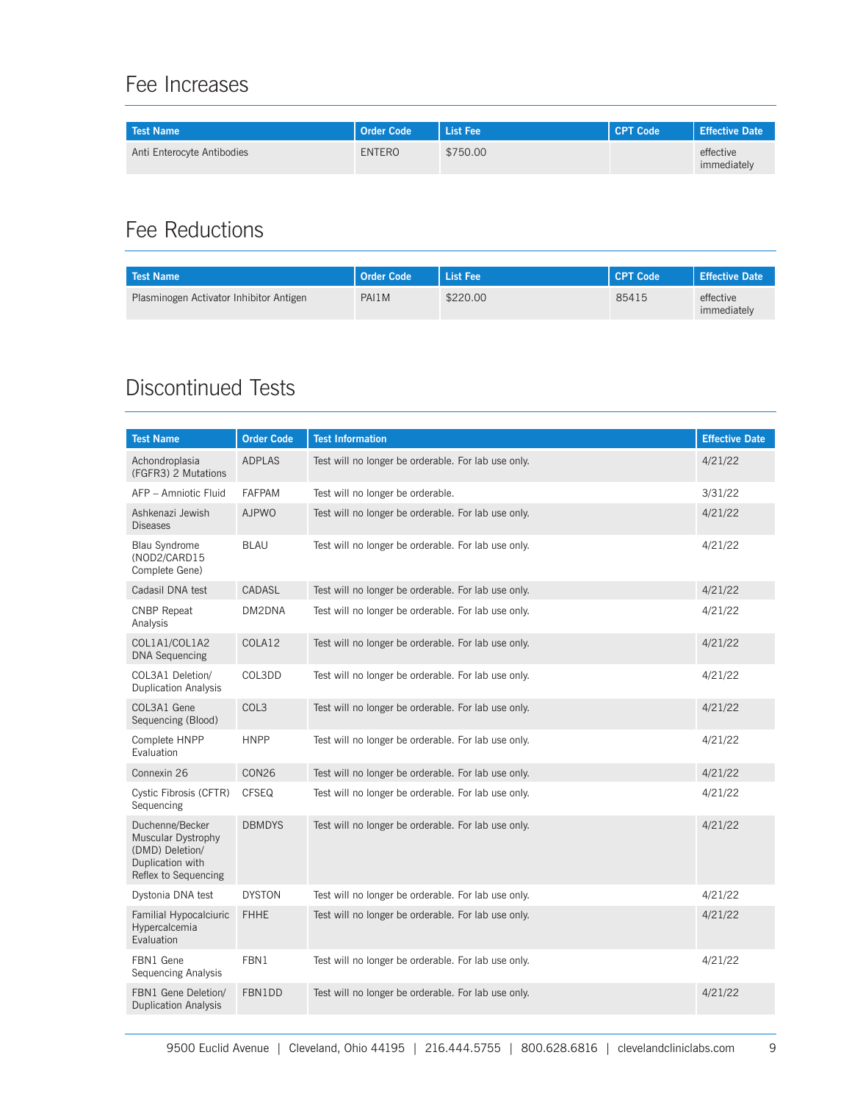### Fee Increases

| Test Name                  | I Order Code  | N List Fee <sup>1</sup> | CPT Code | Effective Date           |
|----------------------------|---------------|-------------------------|----------|--------------------------|
| Anti Enterocyte Antibodies | <b>ENTERO</b> | \$750.00                |          | effective<br>immediately |

### Fee Reductions

| Test Name                               | Order Code | I List Fee | <b>I</b> CPT Code | I Effective Date         |
|-----------------------------------------|------------|------------|-------------------|--------------------------|
| Plasminogen Activator Inhibitor Antigen | PAI1M      | \$220.00   | 85415             | effective<br>immediately |

#### Discontinued Tests

| <b>Test Name</b>                                                                                            | <b>Order Code</b> | <b>Test Information</b>                             | <b>Effective Date</b> |
|-------------------------------------------------------------------------------------------------------------|-------------------|-----------------------------------------------------|-----------------------|
| Achondroplasia<br>(FGFR3) 2 Mutations                                                                       | <b>ADPLAS</b>     | Test will no longer be orderable. For lab use only. | 4/21/22               |
| AFP - Amniotic Fluid                                                                                        | <b>FAFPAM</b>     | Test will no longer be orderable.                   | 3/31/22               |
| Ashkenazi Jewish<br><b>Diseases</b>                                                                         | <b>AJPWO</b>      | Test will no longer be orderable. For lab use only. | 4/21/22               |
| Blau Syndrome<br>(NOD2/CARD15<br>Complete Gene)                                                             | <b>BLAU</b>       | Test will no longer be orderable. For lab use only. | 4/21/22               |
| Cadasil DNA test                                                                                            | CADASL            | Test will no longer be orderable. For lab use only. | 4/21/22               |
| <b>CNBP</b> Repeat<br>Analysis                                                                              | DM2DNA            | Test will no longer be orderable. For lab use only. | 4/21/22               |
| COL1A1/COL1A2<br><b>DNA Sequencing</b>                                                                      | COLA12            | Test will no longer be orderable. For lab use only. | 4/21/22               |
| COL3A1 Deletion/<br><b>Duplication Analysis</b>                                                             | COL3DD            | Test will no longer be orderable. For lab use only. | 4/21/22               |
| COL3A1 Gene<br>Sequencing (Blood)                                                                           | COL <sub>3</sub>  | Test will no longer be orderable. For lab use only. | 4/21/22               |
| Complete HNPP<br>Evaluation                                                                                 | <b>HNPP</b>       | Test will no longer be orderable. For lab use only. | 4/21/22               |
| Connexin 26                                                                                                 | <b>CON26</b>      | Test will no longer be orderable. For lab use only. | 4/21/22               |
| Cystic Fibrosis (CFTR)<br>Sequencing                                                                        | <b>CFSEQ</b>      | Test will no longer be orderable. For lab use only. | 4/21/22               |
| Duchenne/Becker<br><b>Muscular Dystrophy</b><br>(DMD) Deletion/<br>Duplication with<br>Reflex to Sequencing | <b>DBMDYS</b>     | Test will no longer be orderable. For lab use only. | 4/21/22               |
| Dystonia DNA test                                                                                           | <b>DYSTON</b>     | Test will no longer be orderable. For lab use only. | 4/21/22               |
| Familial Hypocalciuric<br>Hypercalcemia<br>Evaluation                                                       | <b>FHHE</b>       | Test will no longer be orderable. For lab use only. | 4/21/22               |
| FBN1 Gene<br><b>Sequencing Analysis</b>                                                                     | FBN1              | Test will no longer be orderable. For lab use only. | 4/21/22               |
| FBN1 Gene Deletion/<br><b>Duplication Analysis</b>                                                          | FBN1DD            | Test will no longer be orderable. For lab use only. | 4/21/22               |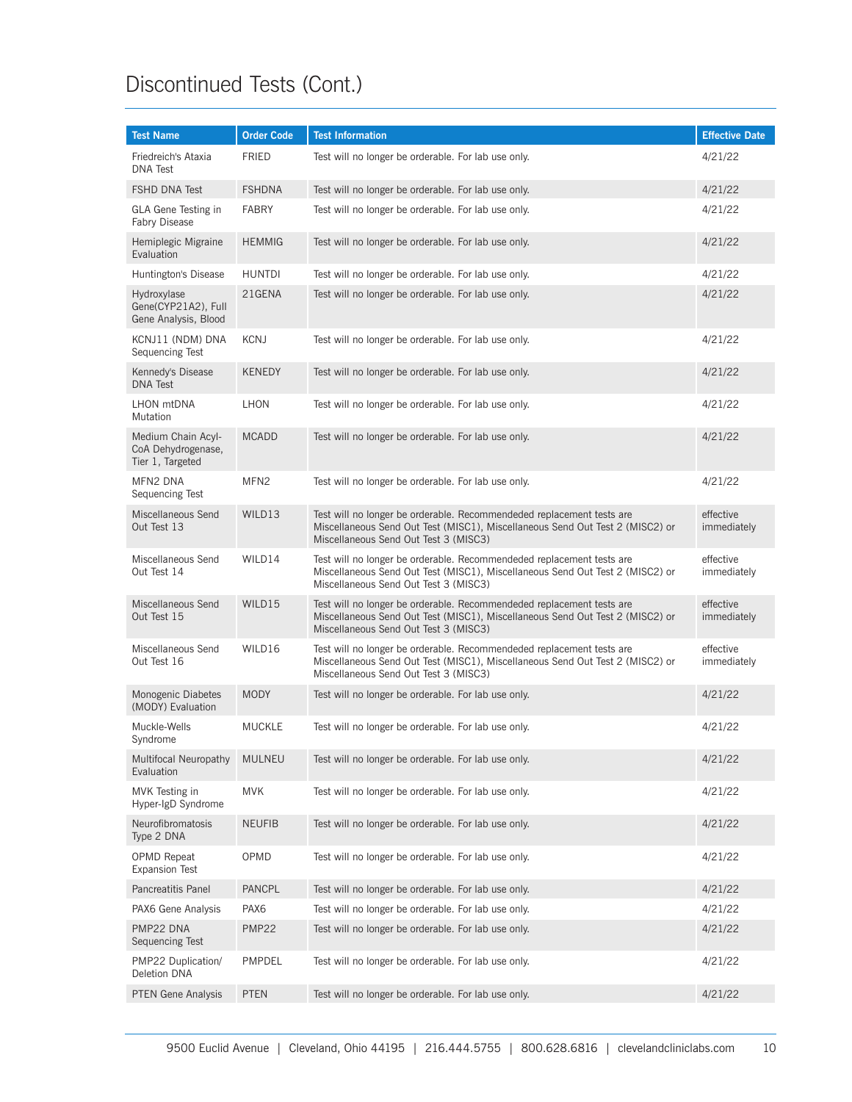### Discontinued Tests (Cont.)

| <b>Test Name</b>                                             | <b>Order Code</b> | <b>Test Information</b>                                                                                                                                                                         | <b>Effective Date</b>    |
|--------------------------------------------------------------|-------------------|-------------------------------------------------------------------------------------------------------------------------------------------------------------------------------------------------|--------------------------|
| Friedreich's Ataxia<br><b>DNA Test</b>                       | <b>FRIED</b>      | Test will no longer be orderable. For lab use only.                                                                                                                                             | 4/21/22                  |
| FSHD DNA Test                                                | <b>FSHDNA</b>     | Test will no longer be orderable. For lab use only.                                                                                                                                             | 4/21/22                  |
| GLA Gene Testing in<br><b>Fabry Disease</b>                  | <b>FABRY</b>      | Test will no longer be orderable. For lab use only.                                                                                                                                             | 4/21/22                  |
| Hemiplegic Migraine<br>Evaluation                            | <b>HEMMIG</b>     | Test will no longer be orderable. For lab use only.                                                                                                                                             | 4/21/22                  |
| Huntington's Disease                                         | <b>HUNTDI</b>     | Test will no longer be orderable. For lab use only.                                                                                                                                             | 4/21/22                  |
| Hydroxylase<br>Gene(CYP21A2), Full<br>Gene Analysis, Blood   | 21GENA            | Test will no longer be orderable. For lab use only.                                                                                                                                             | 4/21/22                  |
| KCNJ11 (NDM) DNA<br>Sequencing Test                          | <b>KCNJ</b>       | Test will no longer be orderable. For lab use only.                                                                                                                                             | 4/21/22                  |
| Kennedy's Disease<br><b>DNA Test</b>                         | <b>KENEDY</b>     | Test will no longer be orderable. For lab use only.                                                                                                                                             | 4/21/22                  |
| <b>LHON mtDNA</b><br>Mutation                                | LHON              | Test will no longer be orderable. For lab use only.                                                                                                                                             | 4/21/22                  |
| Medium Chain Acyl-<br>CoA Dehydrogenase,<br>Tier 1, Targeted | <b>MCADD</b>      | Test will no longer be orderable. For lab use only.                                                                                                                                             | 4/21/22                  |
| MFN2 DNA<br>Sequencing Test                                  | MFN <sub>2</sub>  | Test will no longer be orderable. For lab use only.                                                                                                                                             | 4/21/22                  |
| Miscellaneous Send<br>Out Test 13                            | WILD13            | Test will no longer be orderable. Recommendeded replacement tests are<br>Miscellaneous Send Out Test (MISC1), Miscellaneous Send Out Test 2 (MISC2) or<br>Miscellaneous Send Out Test 3 (MISC3) | effective<br>immediately |
| Miscellaneous Send<br>Out Test 14                            | WILD14            | Test will no longer be orderable. Recommendeded replacement tests are<br>Miscellaneous Send Out Test (MISC1), Miscellaneous Send Out Test 2 (MISC2) or<br>Miscellaneous Send Out Test 3 (MISC3) | effective<br>immediately |
| Miscellaneous Send<br>Out Test 15                            | WILD15            | Test will no longer be orderable. Recommendeded replacement tests are<br>Miscellaneous Send Out Test (MISC1), Miscellaneous Send Out Test 2 (MISC2) or<br>Miscellaneous Send Out Test 3 (MISC3) | effective<br>immediately |
| Miscellaneous Send<br>Out Test 16                            | WILD16            | Test will no longer be orderable. Recommendeded replacement tests are<br>Miscellaneous Send Out Test (MISC1), Miscellaneous Send Out Test 2 (MISC2) or<br>Miscellaneous Send Out Test 3 (MISC3) | effective<br>immediately |
| Monogenic Diabetes<br>(MODY) Evaluation                      | <b>MODY</b>       | Test will no longer be orderable. For lab use only.                                                                                                                                             | 4/21/22                  |
| Muckle-Wells<br>Syndrome                                     | <b>MUCKLE</b>     | Test will no longer be orderable. For lab use only.                                                                                                                                             | 4/21/22                  |
| <b>Multifocal Neuropathy</b><br>Evaluation                   | <b>MULNEU</b>     | Test will no longer be orderable. For lab use only.                                                                                                                                             | 4/21/22                  |
| MVK Testing in<br>Hyper-IgD Syndrome                         | <b>MVK</b>        | Test will no longer be orderable. For lab use only.                                                                                                                                             | 4/21/22                  |
| Neurofibromatosis<br>Type 2 DNA                              | <b>NEUFIB</b>     | Test will no longer be orderable. For lab use only.                                                                                                                                             | 4/21/22                  |
| <b>OPMD Repeat</b><br><b>Expansion Test</b>                  | OPMD              | Test will no longer be orderable. For lab use only.                                                                                                                                             | 4/21/22                  |
| Pancreatitis Panel                                           | <b>PANCPL</b>     | Test will no longer be orderable. For lab use only.                                                                                                                                             | 4/21/22                  |
| PAX6 Gene Analysis                                           | PAX <sub>6</sub>  | Test will no longer be orderable. For lab use only.                                                                                                                                             | 4/21/22                  |
| PMP22 DNA<br>Sequencing Test                                 | <b>PMP22</b>      | Test will no longer be orderable. For lab use only.                                                                                                                                             | 4/21/22                  |
| PMP22 Duplication/<br>Deletion DNA                           | PMPDEL            | Test will no longer be orderable. For lab use only.                                                                                                                                             | 4/21/22                  |
| <b>PTEN Gene Analysis</b>                                    | <b>PTEN</b>       | Test will no longer be orderable. For lab use only.                                                                                                                                             | 4/21/22                  |